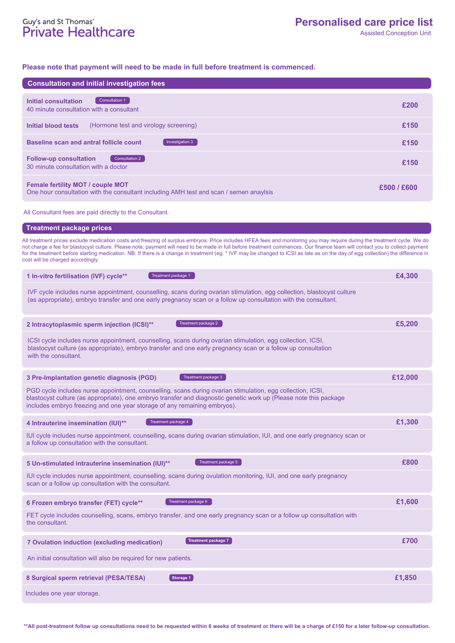# Guy's and St Thomas'<br>Private Healthcare

### **Please note that payment will need to be made in full before treatment is commenced.**

| <b>Consultation and initial investigation fees</b>                                                                                                                                                                                                                                                                                                                                                                                                                                                                                          |             |
|---------------------------------------------------------------------------------------------------------------------------------------------------------------------------------------------------------------------------------------------------------------------------------------------------------------------------------------------------------------------------------------------------------------------------------------------------------------------------------------------------------------------------------------------|-------------|
|                                                                                                                                                                                                                                                                                                                                                                                                                                                                                                                                             |             |
| Consultation 1<br><b>Initial consultation</b><br>40 minute consultation with a consultant                                                                                                                                                                                                                                                                                                                                                                                                                                                   | £200        |
| (Hormone test and virology screening)<br>Initial blood tests                                                                                                                                                                                                                                                                                                                                                                                                                                                                                | £150        |
| <b>Baseline scan and antral follicle count</b><br>Investigation 3                                                                                                                                                                                                                                                                                                                                                                                                                                                                           | £150        |
| <b>Follow-up consultation</b><br>Consultation 2<br>30 minute consultation with a doctor                                                                                                                                                                                                                                                                                                                                                                                                                                                     | £150        |
| Female fertility MOT / couple MOT<br>One hour consultation with the consultant including AMH test and scan / semen anaylsis                                                                                                                                                                                                                                                                                                                                                                                                                 | £500 / £600 |
| All Consultant fees are paid directly to the Consultant.                                                                                                                                                                                                                                                                                                                                                                                                                                                                                    |             |
| <b>Treatment package prices</b>                                                                                                                                                                                                                                                                                                                                                                                                                                                                                                             |             |
| All treatment prices exclude medication costs and freezing of surplus embryos. Price includes HFEA fees and monitoring you may require during the treatment cycle. We do<br>not charge a fee for blastocyst culture. Please note, payment will need to be made in full before treatment commences. Our finance team will contact you to collect payment<br>for the treatment before starting medication. NB. If there is a change in treatment (eg. * IVF may be changed to ICSI as late as on the day of egg collection) the difference in |             |
| cost will be charged accordingly.                                                                                                                                                                                                                                                                                                                                                                                                                                                                                                           |             |
| Treatment package 1<br>1 In-vitro fertilisation (IVF) cycle**                                                                                                                                                                                                                                                                                                                                                                                                                                                                               | £4,300      |
| IVF cycle includes nurse appointment, counselling, scans during ovarian stimulation, egg collection, blastocyst culture<br>(as appropriate), embryo transfer and one early pregnancy scan or a follow up consultation with the consultant.                                                                                                                                                                                                                                                                                                  |             |
| Treatment package 2<br>2 Intracytoplasmic sperm injection (ICSI)**                                                                                                                                                                                                                                                                                                                                                                                                                                                                          | £5,200      |
| ICSI cycle includes nurse appointment, counselling, scans during ovarian stimulation, egg collection, ICSI,<br>blastocyst culture (as appropriate), embryo transfer and one early pregnancy scan or a follow up consultation<br>with the consultant.                                                                                                                                                                                                                                                                                        |             |

| 3 Pre-Implantation genetic diagnosis (PGD)                                                                                                                                             | Treatment package 3                                                                                               | £12,000 |
|----------------------------------------------------------------------------------------------------------------------------------------------------------------------------------------|-------------------------------------------------------------------------------------------------------------------|---------|
| PGD cycle includes nurse appointment, counselling, scans during ovarian stimulation, egg collection, ICSI,<br>includes embryo freezing and one year storage of any remaining embryos). | blastocyst culture (as appropriate), one embryo transfer and diagnostic genetic work up (Please note this package |         |
| Treatment package 4<br>4 Intrauterine insemination (IUI)**                                                                                                                             |                                                                                                                   | £1.300  |

**5 Un-stimulated intrauterine insemination (IUI)\*\* £800** Treatment package 5 IUI cycle includes nurse appointment, counselling, scans during ovarian stimulation, IUI, and one early pregnancy scan or a follow up consultation with the consultant.

IUI cycle includes nurse appointment, counselling, scans during ovulation monitoring, IUI, and one early pregnancy scan or a follow up consultation with the consultant.

Treatment package 6

| 6 Frozen embryo transfer (FET) cycle** | Treatment package 6 | £1.600 |
|----------------------------------------|---------------------|--------|
|----------------------------------------|---------------------|--------|

FET cycle includes counselling, scans, embryo transfer, and one early pregnancy scan or a follow up consultation with the consultant.

| Treatment package 7<br>7 Ovulation induction (excluding medication) | £700   |
|---------------------------------------------------------------------|--------|
| An initial consultation will also be required for new patients.     |        |
| Storage 1<br>8 Surgical sperm retrieval (PESA/TESA)                 | £1,850 |
| Includes one year storage.                                          |        |

**\*\*All post-treatment follow up consultations need to be requested within 6 weeks of treatment or there will be a charge of £150 for a later follow-up consultation.**